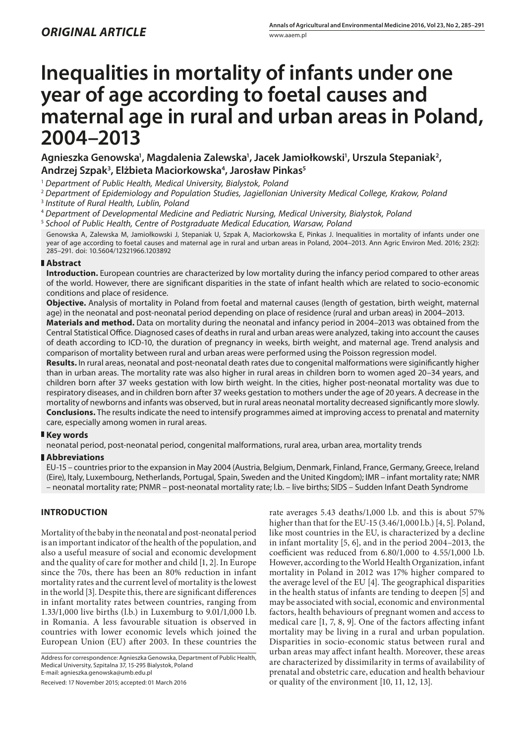# **Inequalities in mortality of infants under one year of age according to foetal causes and maternal age in rural and urban areas in Poland, 2004–2013**

Agnieszka Genowska<sup>1</sup>, Magdalenia Zalewska<sup>1</sup>, Jacek Jamiołkowski<sup>1</sup>, Urszula Stepaniak<sup>2</sup>, **Andrzej Szpak3 , Elżbieta Maciorkowska4 , Jarosław Pinkas5**

<sup>1</sup> *Department of Public Health, Medical University, Bialystok, Poland*

<sup>2</sup> *Department of Epidemiology and Population Studies, Jagiellonian University Medical College, Krakow, Poland*

<sup>3</sup> *Institute of Rural Health, Lublin, Poland* 

<sup>4</sup> *Department of Developmental Medicine and Pediatric Nursing, Medical University, Bialystok, Poland*

<sup>5</sup> *School of Public Health, Centre of Postgraduate Medical Education, Warsaw, Poland*

Genowska A, Zalewska M, Jamiołkowski J, Stepaniak U, Szpak A, Maciorkowska E, Pinkas J. Inequalities in mortality of infants under one year of age according to foetal causes and maternal age in rural and urban areas in Poland, 2004–2013. Ann Agric Environ Med. 2016; 23(2): 285–291. doi: 10.5604/12321966.1203892

## **Abstract**

**Introduction.** European countries are characterized by low mortality during the infancy period compared to other areas of the world. However, there are significant disparities in the state of infant health which are related to socio-economic conditions and place of residence.

**Objective.** Analysis of mortality in Poland from foetal and maternal causes (length of gestation, birth weight, maternal age) in the neonatal and post-neonatal period depending on place of residence (rural and urban areas) in 2004–2013.

**Materials and method.** Data on mortality during the neonatal and infancy period in 2004–2013 was obtained from the Central Statistical Office. Diagnosed cases of deaths in rural and urban areas were analyzed, taking into account the causes of death according to ICD-10, the duration of pregnancy in weeks, birth weight, and maternal age. Trend analysis and comparison of mortality between rural and urban areas were performed using the Poisson regression model.

**Results.** In rural areas, neonatal and post-neonatal death rates due to congenital malformations were siginificantly higher than in urban areas. The mortality rate was also higher in rural areas in children born to women aged 20–34 years, and children born after 37 weeks gestation with low birth weight. In the cities, higher post-neonatal mortality was due to respiratory diseases, and in children born after 37 weeks gestation to mothers under the age of 20 years. A decrease in the mortality of newborns and infants was observed, but in rural areas neonatal mortality decreased significantly more slowly. **Conclusions.** The results indicate the need to intensify programmes aimed at improving access to prenatal and maternity care, especially among women in rural areas.

## **Key words**

neonatal period, post-neonatal period, congenital malformations, rural area, urban area, mortality trends

### **Abbreviations**

EU-15 – countries prior to the expansion in May 2004 (Austria, Belgium, Denmark, Finland, France, Germany, Greece, Ireland (Eire), Italy, Luxembourg, Netherlands, Portugal, Spain, Sweden and the United Kingdom); IMR – infant mortality rate; NMR – neonatal mortality rate; PNMR – post-neonatal mortality rate; l.b. – live births; SIDS – Sudden Infant Death Syndrome

## **INTRODUCTION**

Mortality of the baby in the neonatal and post-neonatal period is an important indicator of the health of the population, and also a useful measure of social and economic development and the quality of care for mother and child [1, 2]. In Europe since the 70s, there has been an 80% reduction in infant mortality rates and the current level of mortality is the lowest in the world [3]. Despite this, there are significant differences in infant mortality rates between countries, ranging from 1.33/1,000 live births (l.b.) in Luxemburg to 9.01/1,000 l.b. in Romania. A less favourable situation is observed in countries with lower economic levels which joined the European Union (EU) after 2003. In these countries the

Address for correspondence: Agnieszka Genowska, Department of Public Health, Medical University, Szpitalna 37, 15-295 Bialystok, Poland E-mail: [agnieszka.genowska@umb.edu.](mailto:agnieszka.genowska@umb.edu.)pl

Received: 17 November 2015; accepted: 01 March 2016

rate averages 5.43 deaths/1,000 l.b. and this is about 57% higher than that for the EU-15 (3.46/1,000 l.b.) [4, 5]. Poland, like most countries in the EU, is characterized by a decline in infant mortality [5, 6], and in the period 2004–2013, the coefficient was reduced from 6.80/1,000 to 4.55/1,000 l.b. However, according to the World Health Organization, infant mortality in Poland in 2012 was 17% higher compared to the average level of the EU [4]. The geographical disparities in the health status of infants are tending to deepen [5] and may be associated with social, economic and environmental factors, health behaviours of pregnant women and access to medical care [1, 7, 8, 9]. One of the factors affecting infant mortality may be living in a rural and urban population. Disparities in socio-economic status between rural and urban areas may affect infant health. Moreover, these areas are characterized by dissimilarity in terms of availability of prenatal and obstetric care, education and health behaviour or quality of the environment [10, 11, 12, 13].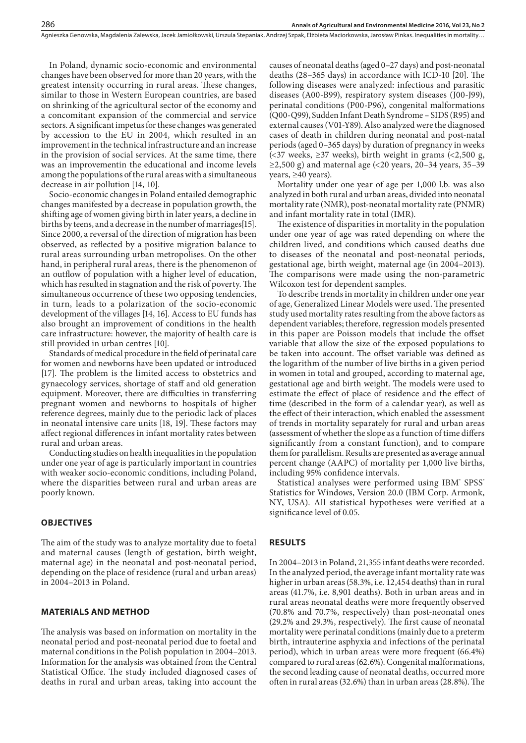In Poland, dynamic socio-economic and environmental changes have been observed for more than 20 years, with the greatest intensity occurring in rural areas. These changes, similar to those in Western European countries, are based on shrinking of the agricultural sector of the economy and a concomitant expansion of the commercial and service sectors. A significant impetus for these changes was generated by accession to the EU in 2004, which resulted in an improvement in the technical infrastructure and an increase in the provision of social services. At the same time, there was an improvementin the educational and income levels among the populations of the rural areas with a simultaneous decrease in air pollution [14, 10].

Socio-economic changes in Poland entailed demographic changes manifested by a decrease in population growth, the shifting age of women giving birth in later years, a decline in births by teens, and a decrease in the number of marriages[15]. Since 2000, a reversal of the direction of migration has been observed, as reflected by a positive migration balance to rural areas surrounding urban metropolises. On the other hand, in peripheral rural areas, there is the phenomenon of an outflow of population with a higher level of education, which has resulted in stagnation and the risk of poverty. The simultaneous occurrence of these two opposing tendencies, in turn, leads to a polarization of the socio-economic development of the villages [14, 16]. Access to EU funds has also brought an improvement of conditions in the health care infrastructure: however, the majority of health care is still provided in urban centres [10].

Standards of medical procedure in the field of perinatal care for women and newborns have been updated or introduced [17]. The problem is the limited access to obstetrics and gynaecology services, shortage of staff and old generation equipment. Moreover, there are difficulties in transferring pregnant women and newborns to hospitals of higher reference degrees, mainly due to the periodic lack of places in neonatal intensive care units [18, 19]. These factors may affect regional differences in infant mortality rates between rural and urban areas.

Conducting studies on health inequalities in the population under one year of age is particularly important in countries with weaker socio-economic conditions, including Poland, where the disparities between rural and urban areas are poorly known.

#### **OBJECTIVES**

The aim of the study was to analyze mortality due to foetal and maternal causes (length of gestation, birth weight, maternal age) in the neonatal and post-neonatal period, depending on the place of residence (rural and urban areas) in 2004–2013 in Poland.

#### **MATERIALS AND METHOD**

The analysis was based on information on mortality in the neonatal period and post-neonatal period due to foetal and maternal conditions in the Polish population in 2004–2013. Information for the analysis was obtained from the Central Statistical Office. The study included diagnosed cases of deaths in rural and urban areas, taking into account the

causes of neonatal deaths (aged 0–27 days) and post-neonatal deaths (28–365 days) in accordance with ICD-10 [20]. The following diseases were analyzed: infectious and parasitic diseases (A00-B99), respiratory system diseases (J00-J99), perinatal conditions (P00-P96), congenital malformations (Q00-Q99), Sudden Infant Death Syndrome – SIDS (R95) and external causes (V01-Y89). Also analyzed were the diagnosed cases of death in children during neonatal and post-natal periods (aged 0–365 days) by duration of pregnancy in weeks (<37 weeks, ≥37 weeks), birth weight in grams (<2,500 g,  $\geq$ 2,500 g) and maternal age (<20 years, 20–34 years, 35–39 years, ≥40 years).

Mortality under one year of age per 1,000 l.b. was also analyzed in both rural and urban areas, divided into neonatal mortality rate (NMR), post-neonatal mortality rate (PNMR) and infant mortality rate in total (IMR).

The existence of disparities in mortality in the population under one year of age was rated depending on where the children lived, and conditions which caused deaths due to diseases of the neonatal and post-neonatal periods, gestational age, birth weight, maternal age (in 2004–2013). The comparisons were made using the non-parametric Wilcoxon test for dependent samples.

To describe trends in mortality in children under one year of age, Generalized Linear Models were used. The presented study used mortality rates resulting from the above factors as dependent variables; therefore, regression models presented in this paper are Poisson models that include the offset variable that allow the size of the exposed populations to be taken into account. The offset variable was defined as the logarithm of the number of live births in a given period in women in total and grouped, according to maternal age, gestational age and birth weight. The models were used to estimate the effect of place of residence and the effect of time (described in the form of a calendar year), as well as the effect of their interaction, which enabled the assessment of trends in mortality separately for rural and urban areas (assessment of whether the slope as a function of time differs significantly from a constant function), and to compare them for parallelism. Results are presented as average annual percent change (AAPC) of mortality per 1,000 live births, including 95% confidence intervals.

Statistical analyses were performed using IBM° SPSS' Statistics for Windows, Version 20.0 (IBM Corp. Armonk, NY, USA). All statistical hypotheses were verified at a significance level of 0.05.

#### **RESULTS**

In 2004–2013 in Poland, 21,355 infant deaths were recorded. In the analyzed period, the average infant mortality rate was higher in urban areas (58.3%, i.e. 12,454 deaths) than in rural areas (41.7%, i.e. 8,901 deaths). Both in urban areas and in rural areas neonatal deaths were more frequently observed (70.8% and 70.7%, respectively) than post-neonatal ones (29.2% and 29.3%, respectively). The first cause of neonatal mortality were perinatal conditions (mainly due to a preterm birth, intrauterine asphyxia and infections of the perinatal period), which in urban areas were more frequent (66.4%) compared to rural areas (62.6%). Congenital malformations, the second leading cause of neonatal deaths, occurred more often in rural areas (32.6%) than in urban areas (28.8%). The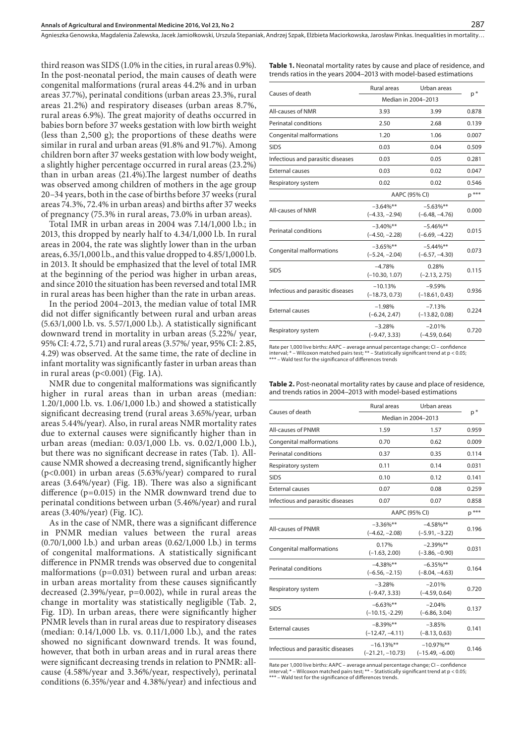Agnieszka Genowska, Magdalenia Zalewska, Jacek Jamiołkowski, Urszula Stepaniak, Andrzej Szpak, Elżbieta Maciorkowska, Jarosław Pinkas . Inequalities in mortality…

third reason was SIDS (1.0% in the cities, in rural areas 0.9%). In the post-neonatal period, the main causes of death were congenital malformations (rural areas 44.2% and in urban areas 37.7%), perinatal conditions (urban areas 23.3%, rural areas 21.2%) and respiratory diseases (urban areas 8.7%, rural areas 6.9%). The great majority of deaths occurred in babies born before 37 weeks gestation with low birth weight (less than 2,500 g); the proportions of these deaths were similar in rural and urban areas (91.8% and 91.7%). Among children born after 37 weeks gestation with low body weight, a slightly higher percentage occurred in rural areas (23.2%) than in urban areas (21.4%).The largest number of deaths was observed among children of mothers in the age group 20–34 years, both in the case of births before 37 weeks (rural areas 74.3%, 72.4% in urban areas) and births after 37 weeks of pregnancy (75.3% in rural areas, 73.0% in urban areas).

Total IMR in urban areas in 2004 was 7.14/1,000 l.b.; in 2013, this dropped by nearly half to 4.34/1,000 l.b. In rural areas in 2004, the rate was slightly lower than in the urban areas, 6.35/1,000 l.b., and this value dropped to 4.85/1,000 l.b. in 2013. It should be emphasized that the level of total IMR at the beginning of the period was higher in urban areas, and since 2010 the situation has been reversed and total IMR in rural areas has been higher than the rate in urban areas.

In the period 2004–2013, the median value of total IMR did not differ significantly between rural and urban areas (5.63/1,000 l.b. vs. 5.57/1,000 l.b.). A statistically significant downward trend in mortality in urban areas (5.22%/ year, 95% CI: 4.72, 5.71) and rural areas (3.57%/ year, 95% CI: 2.85, 4.29) was observed. At the same time, the rate of decline in infant mortality was significantly faster in urban areas than in rural areas ( $p<0.001$ ) (Fig. 1A).

NMR due to congenital malformations was significantly higher in rural areas than in urban areas (median: 1.20/1,000 l.b. vs. 1.06/1,000 l.b.) and showed a statistically significant decreasing trend (rural areas 3.65%/year, urban areas 5.44%/year). Also, in rural areas NMR mortality rates due to external causes were significantly higher than in urban areas (median: 0.03/1,000 l.b. vs. 0.02/1,000 l.b.), but there was no significant decrease in rates (Tab. 1). Allcause NMR showed a decreasing trend, significantly higher (p<0.001) in urban areas (5.63%/year) compared to rural areas (3.64%/year) (Fig. 1B). There was also a significant difference (p=0.015) in the NMR downward trend due to perinatal conditions between urban (5.46%/year) and rural areas (3.40%/year) (Fig. 1C).

As in the case of NMR, there was a significant difference in PNMR median values between the rural areas (0.70/1,000 l.b.) and urban areas (0.62/1,000 l.b.) in terms of congenital malformations. A statistically significant difference in PNMR trends was observed due to congenital malformations (p=0.031) between rural and urban areas: in urban areas mortality from these causes significantly decreased (2.39%/year, p=0.002), while in rural areas the change in mortality was statistically negligible (Tab. 2, Fig. 1D). In urban areas, there were significantly higher PNMR levels than in rural areas due to respiratory diseases (median: 0.14/1,000 l.b. vs. 0.11/1,000 l.b.), and the rates showed no significant downward trends. It was found, however, that both in urban areas and in rural areas there were significant decreasing trends in relation to PNMR: allcause (4.58%/year and 3.36%/year, respectively), perinatal conditions (6.35%/year and 4.38%/year) and infectious and

| <b>Table 1.</b> Neonatal mortality rates by cause and place of residence, and |  |
|-------------------------------------------------------------------------------|--|
| trends ratios in the years 2004–2013 with model-based estimations             |  |

|                                   | <b>Rural areas</b>               | Urban areas                      |         |
|-----------------------------------|----------------------------------|----------------------------------|---------|
| Causes of death                   | Median in 2004-2013              | $p^*$                            |         |
| All-causes of NMR                 | 3.93                             | 3.99                             | 0.878   |
| Perinatal conditions              | 2.50                             | 2.68                             | 0.139   |
| Congenital malformations          | 1.20                             | 1.06                             | 0.007   |
| <b>SIDS</b>                       | 0.03                             | 0.04                             | 0.509   |
| Infectious and parasitic diseases | 0.03                             | 0.05                             | 0.281   |
| <b>External causes</b>            | 0.03                             | 0.02                             | 0.047   |
| Respiratory system                | 0.02                             | 0.02                             | 0.546   |
|                                   |                                  | AAPC (95% CI)                    | $p$ *** |
| All-causes of NMR                 | $-3.64\%$ **<br>$(-4.33, -2.94)$ | $-5.63%$ **<br>$(-6.48, -4.76)$  | 0.000   |
| Perinatal conditions              | $-3.40\%$ **<br>$(-4.50, -2.28)$ | $-5.46\%$ **<br>$(-6.69, -4.22)$ | 0.015   |
| Congenital malformations          | $-3.65%$ **<br>$(-5.24, -2.04)$  | $-5.44\%$ **<br>$(-6.57, -4.30)$ | 0.073   |
| <b>SIDS</b>                       | $-4.78%$<br>$(-10.30, 1.07)$     | 0.28%<br>$(-2.13, 2.75)$         | 0.115   |
| Infectious and parasitic diseases | $-10.13%$<br>$(-18.73, 0.73)$    | $-9.59%$<br>$(-18.61, 0.43)$     | 0.936   |
| <b>External causes</b>            | $-1.98%$<br>$(-6.24, 2.47)$      | $-7.13%$<br>$(-13.82, 0.08)$     | 0.224   |
| Respiratory system                | $-3.28%$<br>$(-9.47, 3.33)$      | $-2.01%$<br>$(-4.59, 0.64)$      | 0.720   |
|                                   |                                  |                                  |         |

Rate per 1,000 live births: AAPC – average annual percentage change; CI – confidence interval; \* – Wilcoxon matched pairs test; \*\* – Statistically significant trend at p < 0.05;  $\sim$  – Wald test for the significance of differences trends

| <b>Table 2.</b> Post-neonatal mortality rates by cause and place of residence, |
|--------------------------------------------------------------------------------|
| and trends ratios in 2004–2013 with model-based estimations                    |

|                                   | Rural areas                         | Urban areas                        |       |  |
|-----------------------------------|-------------------------------------|------------------------------------|-------|--|
| Causes of death                   | Median in 2004-2013                 | $p^*$                              |       |  |
| All-causes of PNMR                | 1.59                                | 1.57                               | 0.959 |  |
| Congenital malformations          | 0.70                                | 0.62                               | 0.009 |  |
| Perinatal conditions              | 0.37                                | 0.35                               | 0.114 |  |
| Respiratory system                | 0.11                                | 0.14                               | 0.031 |  |
| <b>SIDS</b>                       | 0.10                                | 0.12                               | 0.141 |  |
| <b>External causes</b>            | 0.07                                | 0.08                               | 0.259 |  |
| Infectious and parasitic diseases | 0.07                                | 0.07                               | 0.858 |  |
|                                   | AAPC (95% CI)                       | $p$ <sup>***</sup>                 |       |  |
| <b>All-causes of PNMR</b>         | $-3.36\%$ **<br>$(-4.62, -2.08)$    | $-4.58\%$ **<br>$(-5.91, -3.22)$   | 0.196 |  |
| Congenital malformations          | 0.17%<br>$(-1.63, 2.00)$            | $-2.39\%$ **<br>$(-3.86, -0.90)$   | 0.031 |  |
| <b>Perinatal conditions</b>       | $-4.38%$ **<br>$(-6.56, -2.15)$     | $-6.35%$ **<br>$(-8.04, -4.63)$    | 0.164 |  |
| Respiratory system                | $-3.28%$<br>$(-9.47, 3.33)$         | $-2.01%$<br>$(-4.59, 0.64)$        | 0.720 |  |
| <b>SIDS</b>                       | $-6.63%$ **<br>$(-10.15, -2.29)$    | $-2.04%$<br>$(-6.86, 3.04)$        | 0.137 |  |
| <b>External causes</b>            | $-8.39\%**$<br>$(-12.47, -4.11)$    | $-3.85%$<br>$(-8.13, 0.63)$        | 0.141 |  |
| Infectious and parasitic diseases | $-16.13\%$ **<br>$(-21.21, -10.73)$ | $-10.97\%$ **<br>$(-15.49, -6.00)$ | 0.146 |  |

Rate per 1,000 live births: AAPC – average annual percentage change; CI – confidence interval; \* – Wilcoxon matched pairs test; \*\* – Statistically significant trend at p < 0.05;  $*$  – Wald test for the significance of differences trends.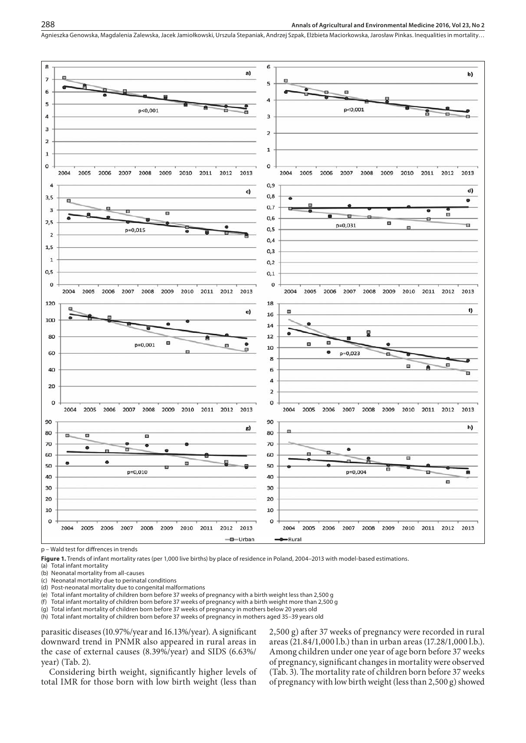#### **Annals of Agricultural and Environmental Medicine 2016, Vol 23, No 2**

Agnieszka Genowska, Magdalenia Zalewska, Jacek Jamiołkowski, Urszula Stepaniak, Andrzej Szpak, Elżbieta Maciorkowska, Jarosław Pinkas . Inequalities in mortality…



p – Wald test for diffrences in trends

Figure 1. Trends of infant mortality rates (per 1,000 live births) by place of residence in Poland, 2004-2013 with model-based estimations.

(a) Total infant mortality

(b) Neonatal mortality from all-causes

(c) Neonatal mortality due to perinatal conditions

(d) Post-neonatal mortality due to congenital malformations

(e) Total infant mortality of children born before 37 weeks of pregnancy with a birth weight less than 2,500 g

(f) Total infant mortality of children born before 37 weeks of pregnancy with a birth weight more than 2,500 g

(g) Total infant mortality of children born before 37 weeks of pregnancy in mothers below 20 years old

(h) Total infant mortality of children born before 37 weeks of pregnancy in mothers aged 35–39 years old

parasitic diseases (10.97%/year and 16.13%/year). A significant downward trend in PNMR also appeared in rural areas in the case of external causes (8.39%/year) and SIDS (6.63%/ year) (Tab. 2).

Considering birth weight, significantly higher levels of total IMR for those born with low birth weight (less than

2,500 g) after 37 weeks of pregnancy were recorded in rural areas (21.84/1,000 l.b.) than in urban areas (17.28/1,000 l.b.). Among children under one year of age born before 37 weeks of pregnancy, significant changes in mortality were observed (Tab. 3). The mortality rate of children born before 37 weeks of pregnancy with low birth weight (less than 2,500 g) showed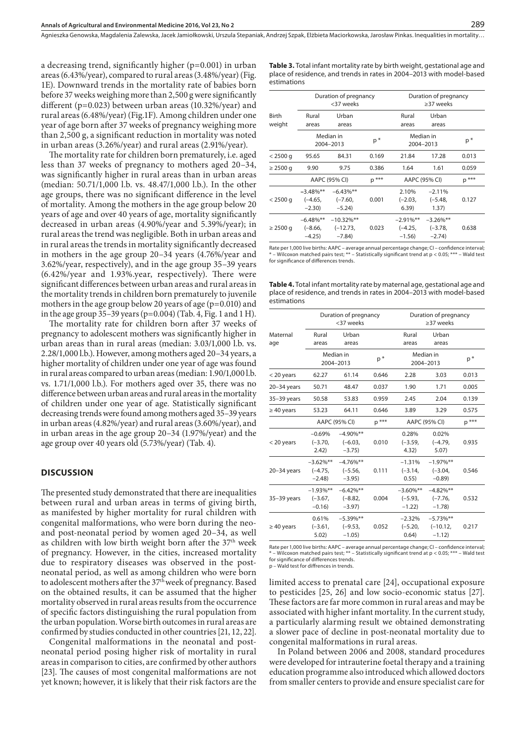Agnieszka Genowska, Magdalenia Zalewska, Jacek Jamiołkowski, Urszula Stepaniak, Andrzej Szpak, Elżbieta Maciorkowska, Jarosław Pinkas . Inequalities in mortality…

a decreasing trend, significantly higher (p=0.001) in urban areas (6.43%/year), compared to rural areas (3.48%/year) (Fig. 1E). Downward trends in the mortality rate of babies born before 37 weeks weighing more than 2,500 g were significantly different (p=0.023) between urban areas (10.32%/year) and rural areas (6.48%/year) (Fig.1F). Among children under one year of age born after 37 weeks of pregnancy weighing more than 2,500 g, a significant reduction in mortality was noted in urban areas (3.26%/year) and rural areas (2.91%/year).

The mortality rate for children born prematurely, i.e. aged less than 37 weeks of pregnancy to mothers aged 20–34, was significantly higher in rural areas than in urban areas (median: 50.71/1,000 l.b. vs. 48.47/1,000 l.b.). In the other age groups, there was no significant difference in the level of mortality. Among the mothers in the age group below 20 years of age and over 40 years of age, mortality significantly decreased in urban areas (4.90%/year and 5.39%/year); in rural areas the trend was negligible. Both in urban areas and in rural areas the trends in mortality significantly decreased in mothers in the age group 20–34 years (4.76%/year and 3.62%/year, respectively), and in the age group 35–39 years (6.42%/year and 1.93%.year, respectively). There were significant differences between urban areas and rural areas in the mortality trends in children born prematurely to juvenile mothers in the age group below 20 years of age (p=0.010) and in the age group 35–39 years (p=0.004) (Tab. 4, Fig. 1 and 1 H).

The mortality rate for children born after 37 weeks of pregnancy to adolescent mothers was significantly higher in urban areas than in rural areas (median: 3.03/1,000 l.b. vs. 2.28/1,000 l.b.). However, among mothers aged 20–34 years, a higher mortality of children under one year of age was found in rural areas compared to urban areas (median: 1.90/1,000 l.b. vs. 1.71/1,000 l.b.). For mothers aged over 35, there was no difference between urban areas and rural areas in the mortality of children under one year of age*.* Statistically significant decreasing trends were found among mothers aged 35–39 years in urban areas (4.82%/year) and rural areas (3.60%/year), and in urban areas in the age group 20–34 (1.97%/year) and the age group over 40 years old (5.73%/year) (Tab. 4).

### **DISCUSSION**

The presented study demonstrated that there are inequalities between rural and urban areas in terms of giving birth, as manifested by higher mortality for rural children with congenital malformations, who were born during the neoand post-neonatal period by women aged 20–34, as well as children with low birth weight born after the  $37<sup>th</sup>$  week of pregnancy. However, in the cities, increased mortality due to respiratory diseases was observed in the postneonatal period, as well as among children who were born to adolescent mothers after the 37th week of pregnancy. Based on the obtained results, it can be assumed that the higher mortality observed in rural areas results from the occurrence of specific factors distinguishing the rural population from the urban population. Worse birth outcomes in rural areas are confirmed by studies conducted in other countries [21, 12, 22].

Congenital malformations in the neonatal and postneonatal period posing higher risk of mortality in rural areas in comparison to cities, are confirmed by other authors [23]. The causes of most congenital malformations are not yet known; however, it is likely that their risk factors are the

**Table 3.** Total infant mortality rate by birth weight, gestational age and place of residence, and trends in rates in 2004–2013 with model-based estimations

|                 | Duration of pregnancy<br><37 weeks   |                                        |         | Duration of pregnancy<br>>37 weeks |                                      |         |
|-----------------|--------------------------------------|----------------------------------------|---------|------------------------------------|--------------------------------------|---------|
| Birth<br>weight | Rural<br>areas                       | Urban<br>areas                         |         | Rural<br>areas                     | Urban<br>areas                       |         |
|                 | Median in<br>2004-2013               |                                        | p*      | Median in<br>2004-2013             |                                      | $p^*$   |
| $< 2500$ g      | 95.65                                | 84.31                                  | 0.169   | 21.84                              | 17.28                                | 0.013   |
| $\geq$ 2500 g   | 9.90                                 | 9.75                                   | 0.386   | 1.64                               | 1.61                                 | 0.059   |
|                 | AAPC (95% CI)                        |                                        | $p$ *** | AAPC (95% CI)                      |                                      | $p$ *** |
| $< 2500$ g      | $-3.48\%$ **<br>$(-4.65,$<br>$-2.30$ | $-6.43\%$ **<br>$(-7.60,$<br>$-5.24$   | 0.001   | 2.10%<br>$(-2.03,$<br>6.39)        | $-2.11%$<br>$(-5.48,$<br>(1.37)      | 0.127   |
| $\geq$ 2500 g   | $-6.48\%$ **<br>$(-8.66,$<br>$-4.25$ | $-10.32\%$ **<br>$(-12.73,$<br>$-7.84$ | 0.023   | $-2.91\%$ **<br>(–4.25,<br>$-1.56$ | $-3.26\%$ **<br>$(-3.78,$<br>$-2.74$ | 0.638   |

Rate per 1,000 live births: AAPC – average annual percentage change; CI – confidence interval; \* – Wilcoxon matched pairs test; \*\* – Statistically significant trend at p < 0.05; \*\*\* – Wald test for significance of differences trends.

**Table 4.** Total infant mortality rate by maternal age, gestational age and place of residence, and trends in rates in 2004–2013 with model-based estimations

|                 | Duration of pregnancy<br><37 weeks   |                                        | Duration of pregnancy<br>$\geq$ 37 weeks |                                      |                                       |         |
|-----------------|--------------------------------------|----------------------------------------|------------------------------------------|--------------------------------------|---------------------------------------|---------|
| Maternal<br>age | Rural<br>areas                       | Urban<br>areas                         |                                          | Rural<br>areas                       | Urban<br>areas                        |         |
|                 | Median in<br>2004-2013               |                                        | $p^*$                                    | Median in<br>2004-2013               |                                       | p*      |
| $<$ 20 years    | 62.27                                | 61.14                                  | 0.646                                    | 2.28                                 | 3.03                                  | 0.013   |
| $20-34$ years   | 50.71                                | 48.47                                  | 0.037                                    | 1.90                                 | 1.71                                  | 0.005   |
| $35-39$ years   | 50.58                                | 53.83                                  | 0.959                                    | 2.45                                 | 2.04                                  | 0.139   |
| $\geq 40$ years | 53.23                                | 64.11                                  | 0.646                                    | 3.89                                 | 3.29                                  | 0.575   |
|                 | AAPC (95% CI)                        |                                        | $p$ ***                                  | AAPC (95% CI)                        |                                       | $p$ *** |
| $<$ 20 years    | $-0.69%$<br>$(-3.70,$<br>2.42)       | $-4.90\%$ **<br>$(-6.03,$<br>$-3.75$ ) | 0.010                                    | 0.28%<br>$(-3.59,$<br>4.32)          | 0.02%<br>$(-4.79,$<br>5.07)           | 0.935   |
| $20-34$ years   | $-3.62%$ **<br>$(-4.75,$<br>$-2.48$  | $-4.76%$ **<br>$(-5.56,$<br>$-3.95$    | 0.111                                    | $-1.31%$<br>$(-3.14,$<br>0.55)       | $-1.97\%$ **<br>$(-3.04,$<br>$-0.89$  | 0.546   |
| 35-39 years     | $-1.93\%$ **<br>$(-3.67,$<br>$-0.16$ | $-6.42\%**$<br>$(-8.82,$<br>$-3.97$ )  | 0.004                                    | $-3.60\%$ **<br>$(-5.93,$<br>$-1.22$ | $-4.82%$ **<br>$(-7.76,$<br>$-1.78$   | 0.532   |
| $\geq 40$ years | 0.61%<br>$(-3.61,$<br>5.02)          | $-5.39%$ **<br>$(-9.53,$<br>$-1.05$    | 0.052                                    | $-2.32%$<br>$(-5.20,$<br>0.64)       | $-5.73%$ **<br>$(-10.12,$<br>$-1.12)$ | 0.217   |

Rate per 1,000 live births: AAPC – average annual percentage change; CI – confidence interval; \* – Wilcoxon matched pairs test; \*\* – Statistically significant trend at p < 0.05; \*\*\* – Wald test for significance of differences trends.

p – Wald test for diffrences in trends.

limited access to prenatal care [24], occupational exposure to pesticides [25, 26] and low socio-economic status [27]. These factors are far more common in rural areas and may be associated with higher infant mortality. In the current study, a particularly alarming result we obtained demonstrating a slower pace of decline in post-neonatal mortality due to congenital malformations in rural areas.

In Poland between 2006 and 2008, standard procedures were developed for intrauterine foetal therapy and a training education programme also introduced which allowed doctors from smaller centers to provide and ensure specialist care for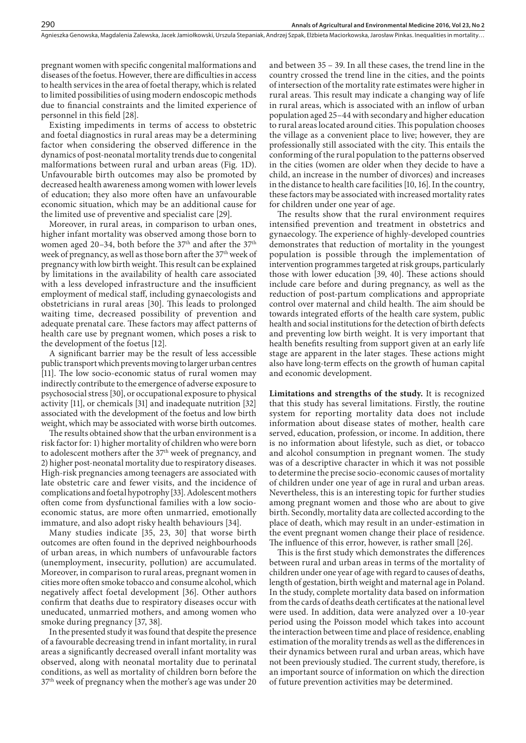pregnant women with specific congenital malformations and diseases of the foetus. However, there are difficulties in access to health services in the area of foetal therapy, which is related to limited possibilities of using modern endoscopic methods due to financial constraints and the limited experience of personnel in this field [28].

290

Existing impediments in terms of access to obstetric and foetal diagnostics in rural areas may be a determining factor when considering the observed difference in the dynamics of post-neonatal mortality trends due to congenital malformations between rural and urban areas (Fig. 1D). Unfavourable birth outcomes may also be promoted by decreased health awareness among women with lower levels of education; they also more often have an unfavourable economic situation, which may be an additional cause for the limited use of preventive and specialist care [29].

Moreover, in rural areas, in comparison to urban ones, higher infant mortality was observed among those born to women aged 20–34, both before the  $37<sup>th</sup>$  and after the  $37<sup>th</sup>$ week of pregnancy, as well as those born after the 37<sup>th</sup> week of pregnancy with low birth weight. This result can be explained by limitations in the availability of health care associated with a less developed infrastructure and the insufficient employment of medical staff, including gynaecologists and obstetricians in rural areas [30]. This leads to prolonged waiting time, decreased possibility of prevention and adequate prenatal care. These factors may affect patterns of health care use by pregnant women, which poses a risk to the development of the foetus [12].

A significant barrier may be the result of less accessible public transport which prevents moving to larger urban centres [11]. The low socio-economic status of rural women may indirectly contribute to the emergence of adverse exposure to psychosocial stress [30], or occupational exposure to physical activity [11], or chemicals [31] and inadequate nutrition [32] associated with the development of the foetus and low birth weight, which may be associated with worse birth outcomes.

The results obtained show that the urban environment is a risk factor for: 1) higher mortality of children who were born to adolescent mothers after the 37<sup>th</sup> week of pregnancy, and 2) higher post-neonatal mortality due to respiratory diseases. High-risk pregnancies among teenagers are associated with late obstetric care and fewer visits, and the incidence of complications and foetal hypotrophy [33]. Adolescent mothers often come from dysfunctional families with a low socioeconomic status, are more often unmarried, emotionally immature, and also adopt risky health behaviours [34].

Many studies indicate [35, 23, 30] that worse birth outcomes are often found in the deprived neighbourhoods of urban areas, in which numbers of unfavourable factors (unemployment, insecurity, pollution) are accumulated. Moreover, in comparison to rural areas, pregnant women in cities more often smoke tobacco and consume alcohol, which negatively affect foetal development [36]. Other authors confirm that deaths due to respiratory diseases occur with uneducated, unmarried mothers, and among women who smoke during pregnancy [37, 38].

In the presented study it was found that despite the presence of a favourable decreasing trend in infant mortality, in rural areas a significantly decreased overall infant mortality was observed, along with neonatal mortality due to perinatal conditions, as well as mortality of children born before the 37<sup>th</sup> week of pregnancy when the mother's age was under 20

and between 35 – 39. In all these cases, the trend line in the country crossed the trend line in the cities, and the points of intersection of the mortality rate estimates were higher in rural areas. This result may indicate a changing way of life in rural areas, which is associated with an inflow of urban population aged 25–44 with secondary and higher education to rural areas located around cities. This population chooses the village as a convenient place to live; however, they are professionally still associated with the city. This entails the conforming of the rural population to the patterns observed in the cities (women are older when they decide to have a child, an increase in the number of divorces) and increases in the distance to health care facilities [10, 16]. In the country, these factors may be associated with increased mortality rates for children under one year of age.

The results show that the rural environment requires intensified prevention and treatment in obstetrics and gynaecology. The experience of highly-developed countries demonstrates that reduction of mortality in the youngest population is possible through the implementation of intervention programmes targeted at risk groups, particularly those with lower education [39, 40]. These actions should include care before and during pregnancy, as well as the reduction of post-partum complications and appropriate control over maternal and child health. The aim should be towards integrated efforts of the health care system, public health and social institutions for the detection of birth defects and preventing low birth weight. It is very important that health benefits resulting from support given at an early life stage are apparent in the later stages. These actions might also have long-term effects on the growth of human capital and economic development.

**Limitations and strengths of the study.** It is recognized that this study has several limitations. Firstly, the routine system for reporting mortality data does not include information about disease states of mother, health care served, education, profession, or income. In addition, there is no information about lifestyle, such as diet, or tobacco and alcohol consumption in pregnant women. The study was of a descriptive character in which it was not possible to determine the precise socio-economic causes of mortality of children under one year of age in rural and urban areas. Nevertheless, this is an interesting topic for further studies among pregnant women and those who are about to give birth. Secondly, mortality data are collected according to the place of death, which may result in an under-estimation in the event pregnant women change their place of residence. The influence of this error, however, is rather small [26].

This is the first study which demonstrates the differences between rural and urban areas in terms of the mortality of children under one year of age with regard to causes of deaths, length of gestation, birth weight and maternal age in Poland. In the study, complete mortality data based on information from the cards of deaths death certificates at the national level were used. In addition, data were analyzed over a 10-year period using the Poisson model which takes into account the interaction between time and place of residence, enabling estimation of the morality trends as well as the differences in their dynamics between rural and urban areas, which have not been previously studied. The current study, therefore, is an important source of information on which the direction of future prevention activities may be determined.